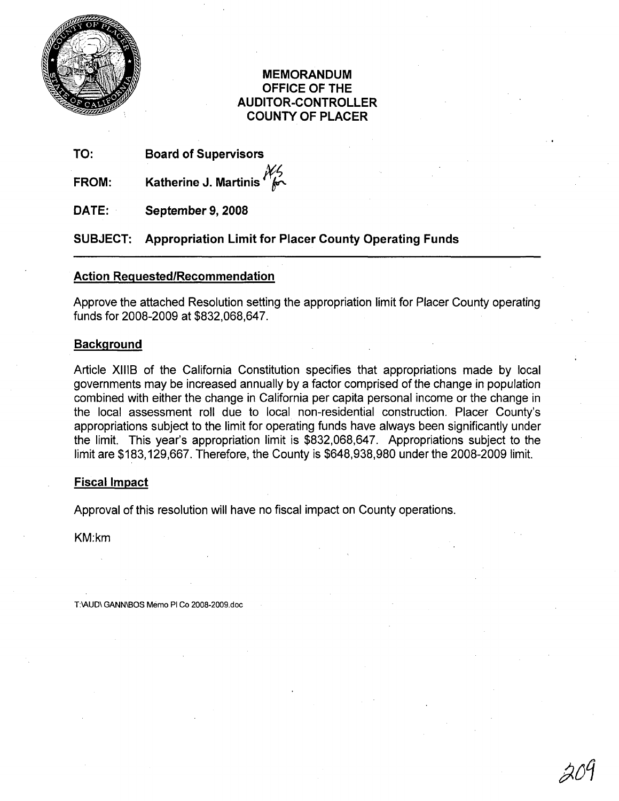

## **MEMORANDUM OFFICE OF THE AUDITOR-CONTROLLER COUNTY OF PLACER**

**TO: Board of Supervisors**

**FROM: Katherine J. Martinis** 

**DATE: September 9, 2008**

**SUBJECT: Appropriation Limit for Placer County Operating Funds**

## **Action Requested/Recommendation**

Approve the attached Resolution setting the appropriation limit for Placer County operating funds for 2008-2009 at \$832,068,647.

## **Background**

Article XIIIS of the California Constitution specifies that appropriations made by local governments may be increased annually by a factor comprised of the change in population combined with either the change in California per capita personal income or the change in the local assessment roll due to local non-residential construction. Placer County's appropriations subject to the limit for operating funds have always been significantly under the limit. This year's appropriation limit is \$832,068,647. Appropriations subject to the limit are \$183,129,667. Therefore, the County is \$648,938,980 under the 2008-2009 limit.

## **Fiscal Impact**

Approval of this resolution will have no fiscal impact on County operations.

KM:km

T:IAUD\ GANN\BOS Memo PI Co 2008-2009.doc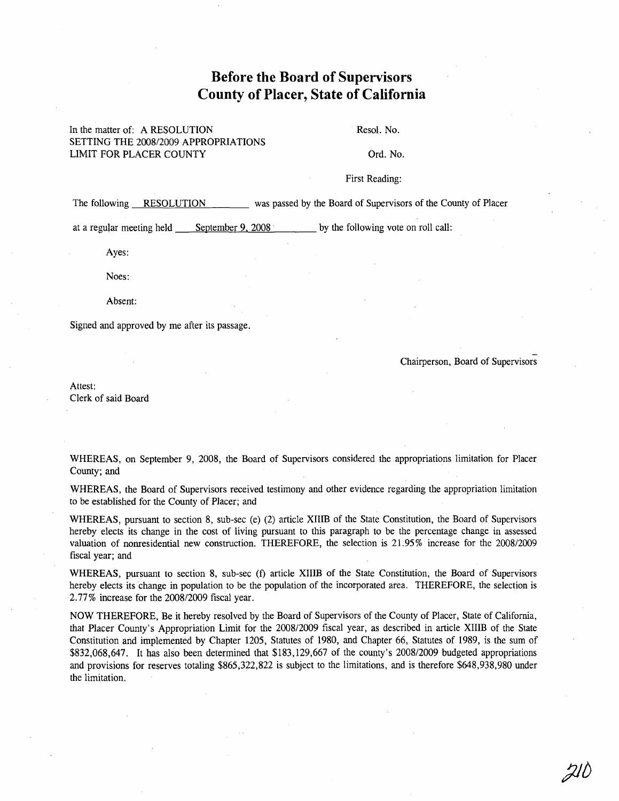# **Before the Board of Supervisors County of Placer, State of California**

### In the matter of: A RESOLUTION SETTING THE 2008/2009 APPROPRIATIONS LIMIT FOR PLACER COUNTY

Resol. No.

Ord. No.

#### First Reading:

The following RESOLUTION was passed by the Board of Supervisors of the County of Placer

at a regular meeting held September 9, 2008 by the following vote on roll call:

Ayes:

Noes:

Absent:

Signed and approved by me after its passage.

- Chairperson, Board of Supervisors

 $Zl$ 

Attest: Clerk of said Board

WHEREAS, on September 9, 2008, the Board of Supervisors considered the appropriations limitation for Placer County; and

WHEREAS, the Board of Supervisors received testimony and other evidence regarding the appropriation limitation to be established for the County of Placer; and

WHEREAS, pursuant to section 8, sub-sec (e) (2) article XIIIB of the State Constitution, the Board of Supervisors hereby elects its change in the cost of living pursuant to this paragraph to be the percentage change in assessed valuation of nonresidential new construction. THEREFORE, the selection is 21.95% increase for the 2008/2009 fiscal year; and

WHEREAS, pursuant to section 8, sub-sec (f) article XIIIB of the State Constitution, the Board of Supervisors hereby elects its change in population to be the population of the incorporated area. THEREFORE, the selection is 2.77% increase for the 2008/2009 fiscal year.

NOW THEREFORE, Be it hereby resolved by the Board of Supervisors of the County of Placer, State of California, that Placer County's Appropriation Limit for the 2008/2009 fiscal year, as described in article XIIIB of the State Constitution and implemented by Chapter 1205, Statutes of 1980, and Chapter 66, Statutes of 1989, is the sum of \$832,068,647. It has also been determined that \$183,129,667 of the county's 2008/2009 budgeted appropriations and provisions for reserves totaling \$865,322,822 is subject to the limitations, and is therefore \$648,938,980 under the limitation.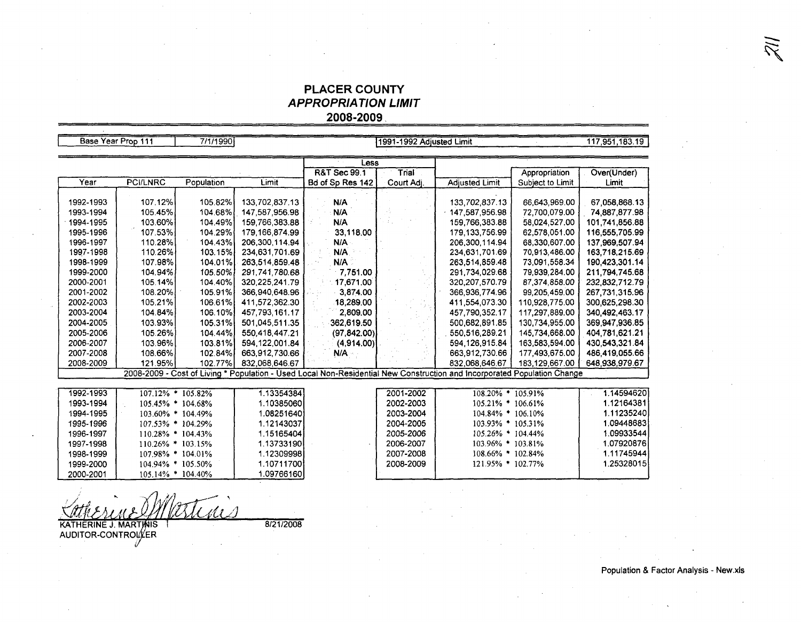## **PLACER COUNTY APPROPRIATlON LIMIT 2008-2009,**

| Base Year Prop 111                                                                                                       |                 | 7/1/1990          |                |                         | 1991-1992 Adjusted Limit |                         |                  | 117,951,183.19 |
|--------------------------------------------------------------------------------------------------------------------------|-----------------|-------------------|----------------|-------------------------|--------------------------|-------------------------|------------------|----------------|
|                                                                                                                          |                 |                   |                |                         |                          |                         |                  |                |
|                                                                                                                          |                 |                   |                | Less                    |                          |                         |                  |                |
|                                                                                                                          |                 |                   |                | <b>R&amp;T Sec 99.1</b> | Trial                    |                         | Appropriation    | Over(Under)    |
| Year                                                                                                                     | <b>PCI/LNRC</b> | Population        | Limit          | Bd of Sp Res 142        | Court Adj.               | <b>Adjusted Limit</b>   | Subject to Limit | Limit          |
|                                                                                                                          |                 |                   |                |                         |                          |                         |                  |                |
| 1992-1993                                                                                                                | 107.12%         | 105.82%           | 133,702,837.13 | N/A                     |                          | 133,702,837.13          | 66,643,969.00    | 67,058,868.13  |
| 1993-1994                                                                                                                | 105.45%         | 104.68%           | 147.587.956.98 | N/A                     |                          | 147.587.956.98          | 72.700.079.00    | 74.887.877.98  |
| 1994-1995                                                                                                                | 103.60%         | 104.49%           | 159 766 383.88 | N/A                     |                          | 159.766.383.88          | 58,024,527.00    | 101,741,856.88 |
| 1995-1996                                                                                                                | 107.53%         | 104.29%           | 179 166 874 99 | 33,118.00               |                          | 179.133.756.99          | 62,578,051.00    | 116,555,705.99 |
| 1996-1997                                                                                                                | 110.28%         | 104.43%           | 206,300,114.94 | N/A                     |                          | 206,300,114.94          | 68.330.607.00    | 137,969,507.94 |
| 1997-1998                                                                                                                | 110.26%         | 103.15%           | 234,631,701.69 | N/A                     |                          | 234.631,701.69          | 70,913,486.00    | 163,718,215.69 |
| 1998-1999                                                                                                                | 107.98%         | 104.01%           | 263.514.859.48 | N/A                     |                          | 263.514.859.48          | 73,091,558.34    | 190,423,301.14 |
| 1999-2000                                                                                                                | 104.94%         | 105.50%           | 291,741,780.68 | 7,751.00                |                          | 291,734,029.68          | 79,939,284.00    | 211,794,745.68 |
| 2000-2001                                                                                                                | 105.14%         | 104.40%           | 320 225 241.79 | 17,671.00               |                          | 320, 207, 570. 79       | 87,374,858.00    | 232,832,712.79 |
| 2001-2002                                                                                                                | 108.20%         | 105.91%           | 366,940,648.96 | 3,874.00                |                          | 366,936,774.96          | 99,205,459,00    | 267,731,315.96 |
| 2002-2003                                                                                                                | 105.21%         | 106.61%           | 411,572,362.30 | 18,289.00               |                          | 411 554 073 30          | 110.928.775.00   | 300.625.298.30 |
| 2003-2004                                                                                                                | 104.84%         | 106.10%           | 457 793 161.17 | 2,809.00                |                          | 457 790 352.17          | 117,297,889.00   | 340,492,463.17 |
| 2004-2005                                                                                                                | 103.93%         | 105.31%           | 501.045.511.35 | 362.619.50              |                          | 500,682,891.85          | 130.734.955.00   | 369.947.936.85 |
| 2005-2006                                                                                                                | 105.26%         | 104.44%           | 550.418.447.21 | (97, 842.00)            |                          | 550.516.289.21          | 145,734,668.00   | 404,781,621.21 |
| 2006-2007                                                                                                                | 103.96%         | 103.81%           | 594.122.001.84 | (4,914.00)              |                          | 594.126.915.84          | 163.583.594.00   | 430.543.321.84 |
| 2007-2008                                                                                                                | 108.66%         | 102.84%           | 663,912,730.66 | N/A                     |                          | 663,912,730.66          | 177,493,675.00   | 486,419,055.66 |
| 2008-2009                                                                                                                | 121.95%         | 102.77%           | 832.068.646.67 |                         |                          | 832.068.646.67          | 183,129,667.00   | 648,938,979.67 |
| 2008-2009 - Cost of Living * Population - Used Local Non-Residential New Construction and Incorporated Population Change |                 |                   |                |                         |                          |                         |                  |                |
|                                                                                                                          |                 |                   |                |                         |                          |                         |                  |                |
| 1992-1993                                                                                                                |                 | 107.12% * 105.82% | 1.13354384     |                         | 2001-2002                | 108.20% * 105.91%       |                  | 1.14594620     |
| 1993-1994                                                                                                                |                 | 105.45% * 104.68% | 1.10385060     |                         | 2002-2003                | $105.21\%$ * $106.61\%$ |                  | 1.12164381     |
| 1994-1995                                                                                                                |                 | 103.60% * 104.49% | 1.08251640     |                         | 2003-2004                | 104.84% * 106.10%       |                  | 1.11235240     |
| 1995-1996                                                                                                                |                 | 107.53% * 104.29% | 1.12143037     |                         | 2004-2005                | 103.93% * 105.31%       |                  | 1.09448683     |
| 1996-1997                                                                                                                |                 | 110.28% * 104.43% | 1.15165404     |                         | 2005-2006                | 105.26% * 104.44%       |                  | 1.09933544     |
| 1997-1998                                                                                                                |                 | 110.26% * 103.15% | 1.13733190     |                         | 2006-2007                | 103.96% * 103.81%       |                  | 1.07920876     |
| 1998-1999                                                                                                                |                 | 107.98% * 104.01% | 1.12309998     |                         | 2007-2008                | 108.66% * 102.84%       |                  | 1.11745944     |
| 1999-2000                                                                                                                |                 | 104.94% * 105.50% | 1.10711700     |                         | 2008-2009                | 121.95% * 102.77%       |                  | 1.25328015     |
| 2000-2001                                                                                                                |                 | 105.14% * 104.40% | 1.09766160     |                         |                          |                         |                  |                |

8/21/2008 KATHERINE J. MARTINIS<br>AUDITOR-CONTROLLER

Population & Factor Analysis - New.xls

 $\widetilde{\mathbb{Z}}$